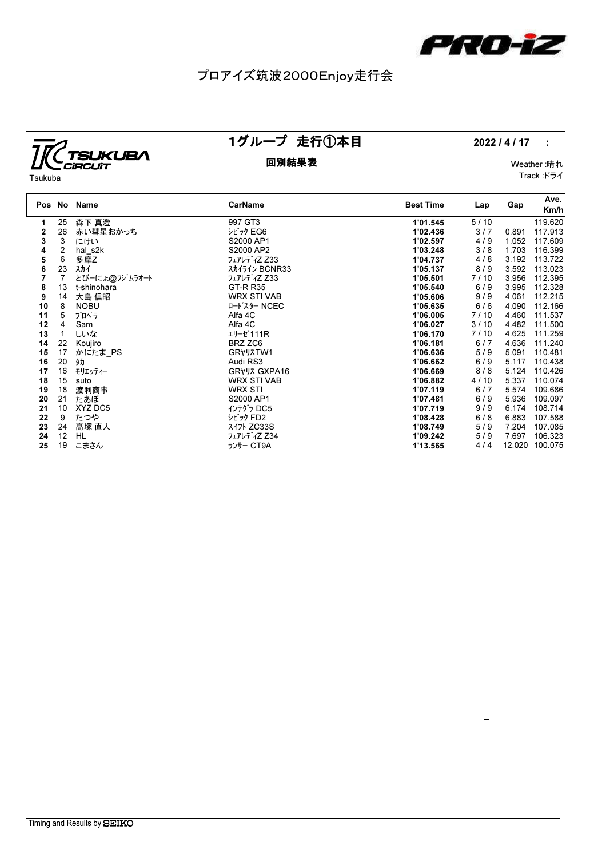

# プロアイズ筑波2000Enjoy走行会



1グループ 走行①本目 2022/4/17 :

 $\frac{1}{2}$ 

### 回別結果表 Weather :晴れ

Track :ドライ

| Tsukuba |  |
|---------|--|
|         |  |

|    |                | Pos No Name   | CarName            | <b>Best Time</b> | Lap  | Gap    | Ave.<br>Km/h |
|----|----------------|---------------|--------------------|------------------|------|--------|--------------|
| 1. | 25             | 森下 真澄         | 997 GT3            | 1'01.545         | 5/10 |        | 119.620      |
| 2  | 26             | 赤い彗星おかっち      | シビック EG6           | 1'02.436         | 3/7  | 0.891  | 117.913      |
| 3  | 3              | にけい           | S2000 AP1          | 1'02.597         | 4/9  | 1.052  | 117.609      |
| 4  | 2              | hal s2k       | S2000 AP2          | 1'03.248         | 3/8  | 1.703  | 116.399      |
| 5  | 6              | 多摩Z           | フェアレディZ Z33        | 1'04.737         | 4/8  | 3.192  | 113.722      |
| 6  | 23             | スカイ           | スカイライン BCNR33      | 1'05.137         | 8/9  | 3.592  | 113.023      |
| 7  | $\overline{7}$ | とびーにょ@フジムラオート | フェアレディZ Z33        | 1'05.501         | 7/10 | 3.956  | 112.395      |
| 8  | 13             | t-shinohara   | <b>GT-R R35</b>    | 1'05.540         | 6/9  | 3.995  | 112.328      |
| 9  | 14             | 大島 信昭         | <b>WRX STI VAB</b> | 1'05.606         | 9/9  | 4.061  | 112.215      |
| 10 | 8              | <b>NOBU</b>   | ロート・スター NCEC       | 1'05.635         | 6/6  | 4.090  | 112.166      |
| 11 | 5              | プロヘラ          | Alfa 4C            | 1'06.005         | 7/10 | 4.460  | 111.537      |
| 12 | 4              | Sam           | Alfa 4C            | 1'06.027         | 3/10 | 4.482  | 111.500      |
| 13 |                | しいな           | エリーゼ 111R          | 1'06.170         | 7/10 | 4.625  | 111.259      |
| 14 | 22             | Koujiro       | BRZ ZC6            | 1'06.181         | 6/7  | 4.636  | 111.240      |
| 15 | 17             | かにたま PS       | GR*JXTW1           | 1'06.636         | 5/9  | 5.091  | 110.481      |
| 16 | 20             | 犰             | Audi RS3           | 1'06.662         | 6/9  | 5.117  | 110.438      |
| 17 | 16             | モリエッティー       | GR*VJ GXPA16       | 1'06.669         | 8/8  | 5.124  | 110.426      |
| 18 | 15             | suto          | <b>WRX STI VAB</b> | 1'06.882         | 4/10 | 5.337  | 110.074      |
| 19 | 18             | 渡利商事          | <b>WRX STI</b>     | 1'07.119         | 6/7  | 5.574  | 109.686      |
| 20 | 21             | たあぼ           | S2000 AP1          | 1'07.481         | 6/9  | 5.936  | 109.097      |
| 21 | 10             | XYZ DC5       | インテグラ DC5          | 1'07.719         | 9/9  | 6.174  | 108.714      |
| 22 | 9              | たつや           | シビック FD2           | 1'08.428         | 6/8  | 6.883  | 107.588      |
| 23 | 24             | 髙塚 直人         | $71$ ZC33S         | 1'08.749         | 5/9  | 7.204  | 107.085      |
| 24 | 12             | HL            | フェアレディZ Z34        | 1'09.242         | 5/9  | 7.697  | 106.323      |
| 25 | 19             | こまさん          | ランサー CT9A          | 1'13.565         | 4/4  | 12.020 | 100.075      |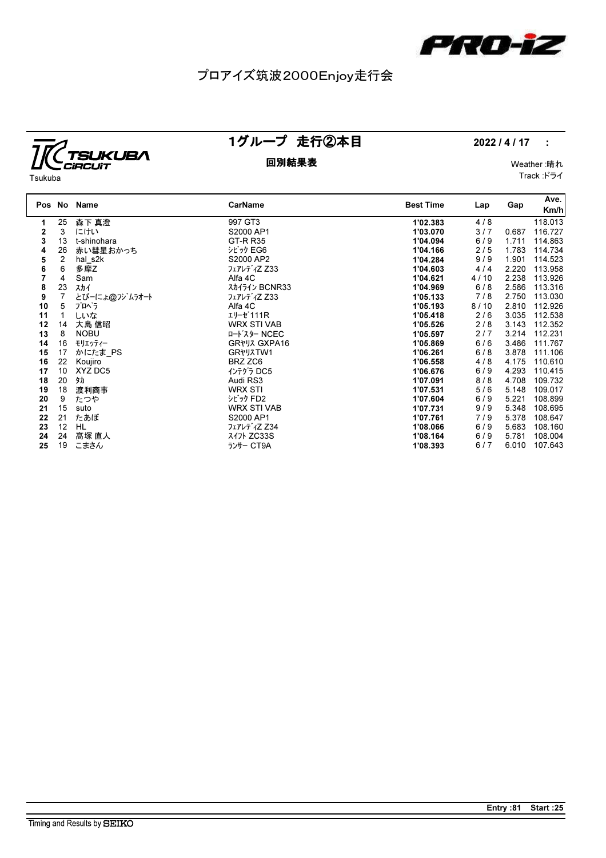

# プロアイズ筑波2000Enjoy走行会



1グループ 走行②本目 2022 / 4 / 17 :

### 回別結果表 Weather :晴れ Track :ドライ

Tsukuba

|    | Pos No         | Name          | <b>CarName</b>     | <b>Best Time</b> | Lap  | Gap   | Ave.    |
|----|----------------|---------------|--------------------|------------------|------|-------|---------|
|    |                |               |                    |                  |      |       | Km/h    |
| 1  | 25             | 森下 真澄         | 997 GT3            | 1'02.383         | 4/8  |       | 118.013 |
| 2  | 3              | にけい           | S2000 AP1          | 1'03.070         | 3/7  | 0.687 | 116.727 |
| 3  | 13             | t-shinohara   | <b>GT-R R35</b>    | 1'04.094         | 6/9  | 1.711 | 114.863 |
| 4  | 26             | 赤い彗星おかっち      | シビック EG6           | 1'04.166         | 2/5  | 1.783 | 114.734 |
| 5  | $\overline{2}$ | hal s2k       | S2000 AP2          | 1'04.284         | 9/9  | 1.901 | 114.523 |
| 6  | 6              | 多摩Z           | フェアレディZ Z33        | 1'04.603         | 4/4  | 2.220 | 113.958 |
|    | 4              | Sam           | Alfa 4C            | 1'04.621         | 4/10 | 2.238 | 113.926 |
| 8  | 23             | スカイ           | スカイライン BCNR33      | 1'04.969         | 6/8  | 2.586 | 113.316 |
| 9  | $\overline{7}$ | とびーにょ@フジムラオート | フェアレディZ Z33        | 1'05.133         | 7/8  | 2.750 | 113.030 |
| 10 | 5              | プロペラ          | Alfa 4C            | 1'05.193         | 8/10 | 2.810 | 112.926 |
| 11 |                | しいな           | エリーゼ111R           | 1'05.418         | 2/6  | 3.035 | 112.538 |
| 12 | 14             | 大島 信昭         | <b>WRX STI VAB</b> | 1'05.526         | 2/8  | 3.143 | 112.352 |
| 13 | 8              | <b>NOBU</b>   | ロート・スター NCEC       | 1'05.597         | 2/7  | 3.214 | 112.231 |
| 14 | 16             | モリエッティー       | GR*J7 GXPA16       | 1'05.869         | 6/6  | 3.486 | 111.767 |
| 15 | 17             | かにたま PS       | GR*JXTW1           | 1'06.261         | 6/8  | 3.878 | 111.106 |
| 16 | 22             | Koujiro       | BRZ ZC6            | 1'06.558         | 4/8  | 4.175 | 110.610 |
| 17 | 10             | XYZ DC5       | インテグラ DC5          | 1'06.676         | 6/9  | 4.293 | 110.415 |
| 18 | 20             | 犰             | Audi RS3           | 1'07.091         | 8/8  | 4.708 | 109.732 |
| 19 | 18             | 渡利商事          | <b>WRX STI</b>     | 1'07.531         | 5/6  | 5.148 | 109.017 |
| 20 | 9              | たつや           | シビック FD2           | 1'07.604         | 6/9  | 5.221 | 108.899 |
| 21 | 15             | suto          | <b>WRX STI VAB</b> | 1'07.731         | 9/9  | 5.348 | 108.695 |
| 22 | 21             | たあぼ           | S2000 AP1          | 1'07.761         | 7/9  | 5.378 | 108.647 |
| 23 | 12             | HL.           | フェアレディZ Z34        | 1'08.066         | 6/9  | 5.683 | 108.160 |
| 24 | 24             | 髙塚 直人         | スイフト ZC33S         | 1'08.164         | 6/9  | 5.781 | 108.004 |
| 25 | 19             | こまさん          | ランサー CT9A          | 1'08.393         | 6/7  | 6.010 | 107.643 |